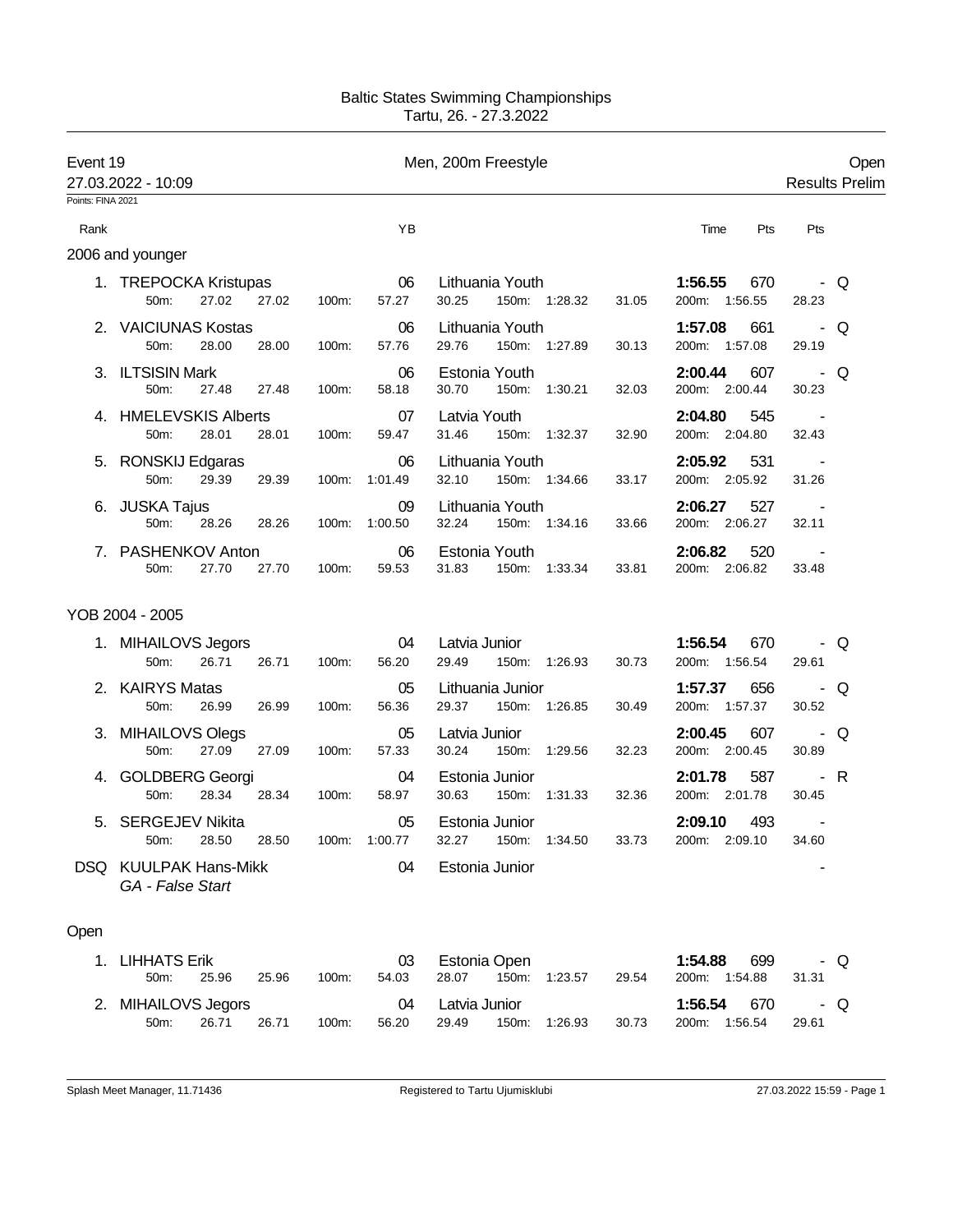## Baltic States Swimming Championships Tartu, 26. - 27.3.2022

| Event 19          | 27.03.2022 - 10:09                        |       |       |                     | Men, 200m Freestyle                                                                |     | Open<br><b>Results Prelim</b> |
|-------------------|-------------------------------------------|-------|-------|---------------------|------------------------------------------------------------------------------------|-----|-------------------------------|
| Points: FINA 2021 |                                           |       |       |                     |                                                                                    |     |                               |
| Rank              |                                           |       |       | YB                  | Time                                                                               | Pts | Pts                           |
|                   | 2006 and younger                          |       |       |                     |                                                                                    |     |                               |
|                   | 1. TREPOCKA Kristupas<br>27.02<br>50m:    | 27.02 | 100m: | 06<br>57.27         | Lithuania Youth<br>1:56.55<br>150m: 1:28.32<br>30.25<br>31.05<br>200m: 1:56.55     | 670 | - Q<br>28.23                  |
|                   | 2. VAICIUNAS Kostas<br>50m:<br>28.00      | 28.00 | 100m: | 06<br>57.76         | Lithuania Youth<br>1:57.08<br>29.76<br>150m: 1:27.89<br>200m: 1:57.08<br>30.13     | 661 | - Q<br>29.19                  |
|                   | 3. ILTSISIN Mark<br>50m:<br>27.48         | 27.48 | 100m: | 06<br>58.18         | Estonia Youth<br>2:00.44<br>30.70<br>150m: 1:30.21<br>32.03<br>200m: 2:00.44       | 607 | - Q<br>30.23                  |
|                   | 4. HMELEVSKIS Alberts<br>50m:<br>28.01    | 28.01 | 100m: | 07<br>59.47         | Latvia Youth<br>2:04.80<br>31.46<br>150m: 1:32.37<br>32.90<br>200m: 2:04.80        | 545 | $\sim$<br>32.43               |
|                   | 5. RONSKIJ Edgaras<br>50m:<br>29.39       | 29.39 |       | 06<br>100m: 1:01.49 | Lithuania Youth<br>2:05.92<br>32.10<br>150m: 1:34.66<br>200m: 2:05.92<br>33.17     | 531 | $\sim$ $-$<br>31.26           |
|                   | 6. JUSKA Tajus<br>50m:<br>28.26           | 28.26 | 100m: | 09<br>1:00.50       | Lithuania Youth<br>2:06.27<br>32.24<br>150m: 1:34.16<br>200m: 2:06.27<br>33.66     | 527 | 32.11                         |
|                   | 7. PASHENKOV Anton<br>27.70<br>50m:       | 27.70 | 100m: | 06<br>59.53         | 2:06.82<br>Estonia Youth<br>31.83<br>150m: 1:33.34<br>33.81<br>200m: 2:06.82       | 520 | 33.48                         |
|                   | YOB 2004 - 2005                           |       |       |                     |                                                                                    |     |                               |
|                   | 1. MIHAILOVS Jegors<br>50m:<br>26.71      | 26.71 | 100m: | 04<br>56.20         | Latvia Junior<br>1:56.54<br>200m: 1:56.54<br>29.49<br>150m: 1:26.93<br>30.73       | 670 | - Q<br>29.61                  |
|                   | 2. KAIRYS Matas<br>50m:<br>26.99          | 26.99 | 100m: | 05<br>56.36         | Lithuania Junior<br>1:57.37<br>200m: 1:57.37<br>29.37<br>150m: 1:26.85<br>30.49    | 656 | - Q<br>30.52                  |
|                   | 3. MIHAILOVS Olegs<br>27.09<br>50m:       | 27.09 | 100m: | 05<br>57.33         | 2:00.45<br>Latvia Junior<br>30.24<br>200m: 2:00.45<br>150m: 1:29.56<br>32.23       | 607 | - Q<br>30.89                  |
|                   | 4. GOLDBERG Georgi<br>50m:<br>28.34       | 28.34 | 100m: | 04<br>58.97         | 2:01.78<br>Estonia Junior<br>30.63<br>150m:<br>1:31.33<br>32.36<br>200m: 2:01.78   | 587 | - R<br>30.45                  |
| 5.                | SERGEJEV Nikita<br>50m:<br>28.50          | 28.50 | 100m: | 05<br>1:00.77       | Estonia Junior<br>2:09.10<br>32.27<br>33.73<br>150m: 1:34.50<br>200m: 2:09.10      | 493 | $\blacksquare$<br>34.60       |
|                   | DSQ KUULPAK Hans-Mikk<br>GA - False Start |       |       | 04                  | Estonia Junior                                                                     |     |                               |
| Open              |                                           |       |       |                     |                                                                                    |     |                               |
| 1.                | <b>LIHHATS Erik</b><br>25.96<br>50m:      | 25.96 | 100m: | 03<br>54.03         | Estonia Open<br>1:54.88<br>200m: 1:54.88<br>28.07<br>150m:<br>1:23.57<br>29.54     | 699 | - Q<br>31.31                  |
|                   | 2. MIHAILOVS Jegors<br>26.71<br>50m:      | 26.71 | 100m: | 04<br>56.20         | 1:56.54<br>Latvia Junior<br>150m:<br>30.73<br>200m:<br>1:56.54<br>29.49<br>1:26.93 | 670 | Q<br>$\sim$<br>29.61          |